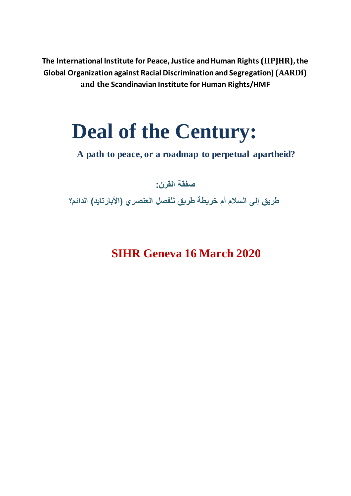**The International Institute for Peace, Justice andHuman Rights (IIPJHR),the Global Organization against Racial Discrimination and Segregation) (AARDi) and the Scandinavian Institute for Human Rights/HMF**

# **Deal of the Century:**

**A path to peace, or a roadmap to perpetual apartheid?**

**صفقة القرن:**

**طريق إلى السالم أم خريطة طريق للفصل العنصري )األبارتايد( الدائم؟**

**SIHR Geneva 16 March 2020**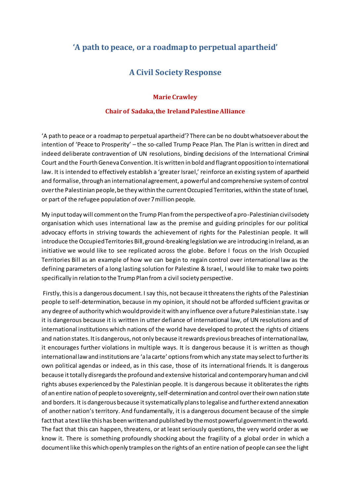# **'A path to peace, or a roadmap to perpetual apartheid'**

# **A Civil Society Response**

#### **Marie Crawley**

#### **Chair of Sadaka,the IrelandPalestineAlliance**

'A path to peace or a roadmap to perpetual apartheid'? There can be no doubt whatsoever about the intention of 'Peace to Prosperity' – the so-called Trump Peace Plan. The Plan is written in direct and indeed deliberate contravention of UN resolutions, binding decisions of the International Criminal Court and the Fourth Geneva Convention. It is written in bold and flagrant opposition to international law. It is intended to effectively establish a 'greater Israel,' reinforce an existing system of apartheid and formalise, through an international agreement, a powerful and comprehensive system of control over the Palestinian people, be they within the current Occupied Territories, within the state of Israel, or part of the refugee population of over 7 million people.

My input today will comment on the Trump Plan from the perspective of a pro-Palestinian civil society organisation which uses international law as the premise and guiding principles for our political advocacy efforts in striving towards the achievement of rights for the Palestinian people. It will introduce the Occupied Territories Bill, ground-breaking legislation we are introducing in Ireland, as an initiative we would like to see replicated across the globe. Before I focus on the Irish Occupied Territories Bill as an example of how we can begin to regain control over international law as the defining parameters of a long lasting solution for Palestine & Israel, I would like to make two points specifically in relation to the Trump Plan from a civil society perspective.

Firstly, this is a dangerous document. I say this, not because it threatens the rights of the Palestinian people to self-determination, because in my opinion, it should not be afforded sufficient gravitas or any degree of authority which would provide it with any influence over a future Palestinian state. I say it is dangerous because it is written in utter defiance of international law, of UN resolutions and of international institutions which nations of the world have developed to protect the rights of citizens and nation states. It is dangerous, not only because it rewards previous breaches of international law, it encourages further violations in multiple ways. It is dangerous because it is written as though international law and institutions are 'a la carte' options from which any state may select to further its own political agendas or indeed, as in this case, those of its international friends. It is dangerous because it totally disregards the profound and extensive historical and contemporary human and civil rights abuses experienced by the Palestinian people. It is dangerous because it obliterates the rights of an entire nation of people to sovereignty, self-determination and control over their own nation state and borders. It is dangerous because it systematically plans to legalise and further extend annexation of another nation's territory. And fundamentally, it is a dangerous document because of the simple fact that a text like this has been written and published by the most powerful government in the world. The fact that this can happen, threatens, or at least seriously questions, the very world order as we know it. There is something profoundly shocking about the fragility of a global order in which a document like this which openly tramples on the rights of an entire nation of people can see the light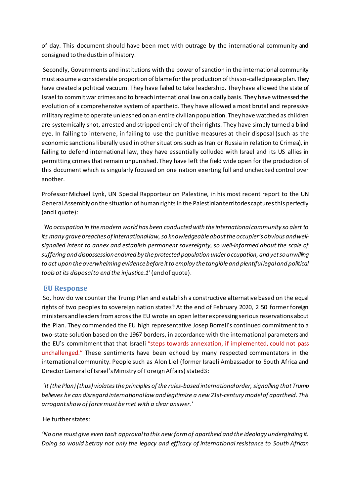of day. This document should have been met with outrage by the international community and consigned to the dustbin of history.

Secondly, Governments and institutions with the power of sanction in the international community must assume a considerable proportion of blame for the production of this so-called peace plan. They have created a political vacuum. They have failed to take leadership. They have allowed the state of Israel to commit war crimes and to breach international law on a daily basis. They have witnessed the evolution of a comprehensive system of apartheid. They have allowed a most brutal and repressive military regime to operate unleashed on an entire civilian population. They have watched as children are systemically shot, arrested and stripped entirely of their rights. They have simply turned a blind eye. In failing to intervene, in failing to use the punitive measures at their disposal (such as the economic sanctions liberally used in other situations such as Iran or Russia in relation to Crimea), in failing to defend international law, they have essentially colluded with Israel and its US allies in permitting crimes that remain unpunished. They have left the field wide open for the production of this document which is singularly focused on one nation exerting full and unchecked control over another.

Professor Michael Lynk, UN Special Rapporteur on Palestine, in his most recent report to the UN General Assembly on the situation of human rights in the Palestinian territories captures this perfectly (and I quote):

*'No occupation in the modern world has been conducted with the international community so alert to its many grave breaches of international law, so knowledgeable about the occupier's obvious and well‐ signalled intent to annex and establish permanent sovereignty, so well‐informed about the scale of suffering and dispossession endured by the protected population under occupation, and yet so unwilling to act upon the overwhelming evidence before it to employ the tangible and plentiful legal and political tools at its disposal to end the injustice.1'* (end of quote).

### **EU Response**

So, how do we counter the Trump Plan and establish a constructive alternative based on the equal rights of two peoples to sovereign nation states? At the end of February 2020, 2 50 former foreign ministers and leaders from across the EU wrote an open letter expressing serious reservations about the Plan. They commended the EU high representative Josep Borrell's continued commitment to a two-state solution based on the 1967 borders, in accordance with the international parameters and the EU's commitment that that Israeli "steps towards annexation, if implemented, could not pass unchallenged." These sentiments have been echoed by many respected commentators in the international community. People such as Alon Liel (former Israeli Ambassador to South Africa and Director General of Israel's Ministry of Foreign Affairs) stated3 :

*'It (the Plan) (thus) violates the principles of the rules‐based international order, signalling that Trump believes he can disregard international law and legitimize a new 21st‐century model of apartheid. This arrogant show of force must be met with a clear answer.'*

He further states:

*'No one must give even tacit approval to this new form of apartheid and the ideology undergirding it. Doing so would betray not only the legacy and efficacy of international resistance to South African*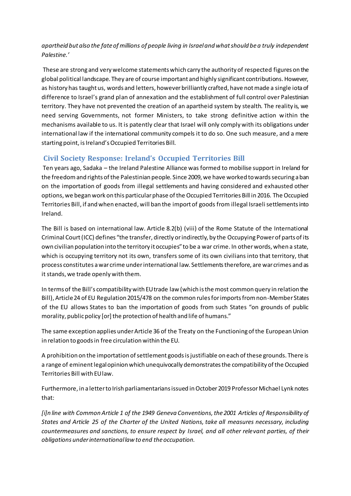## *apartheid but also the fate of millions of people living in Israel and what should be a truly independent Palestine.'*

These are strong and very welcome statements which carry the authority of respected figures on the global political landscape. They are of course important and highly significant contributions. However, as history has taught us, words and letters, however brilliantly crafted, have not made a single iota of difference to Israel's grand plan of annexation and the establishment of full control over Palestinian territory. They have not prevented the creation of an apartheid system by stealth. The reality is, we need serving Governments, not former Ministers, to take strong definitive action within the mechanisms available to us. It is patently clear that Israel will only comply with its obligations under international law if the international community compels it to do so. One such measure, and a mere starting point, is Ireland's Occupied Territories Bill.

## **Civil Society Response: Ireland's Occupied Territories Bill**

Ten years ago, Sadaka – the Ireland Palestine Alliance was formed to mobilise support in Ireland for the freedom and rights of the Palestinian people. Since 2009, we have worked towards securing a ban on the importation of goods from illegal settlements and having considered and exhausted other options, we began work on this particular phase of the Occupied Territories Bill in 2016. The Occupied Territories Bill, if and when enacted, will ban the import of goods from illegal Israeli settlements into Ireland.

The Bill is based on international law. Article 8.2(b) (viii) of the Rome Statute of the International Criminal Court (ICC) defines "the transfer, directly or indirectly, by the Occupying Power of parts of its own civilian population into the territory it occupies" to be a war crime. In other words, when a state, which is occupying territory not its own, transfers some of its own civilians into that territory, that process constitutes a war crime under international law. Settlements therefore, are war crimes and as it stands, we trade openly with them.

In terms of the Bill's compatibility with EU trade law (which is the most common query in relation the Bill), Article 24 of EU Regulation 2015/478 on the common rules for imports from non-Member States of the EU allows States to ban the importation of goods from such States "on grounds of public morality, public policy [or] the protection of health and life of humans."

The same exception applies under Article 36 of the Treaty on the Functioning of the European Union in relation to goods in free circulation within the EU.

A prohibition on the importation of settlement goods is justifiable on each of these grounds. There is a range of eminent legal opinion which unequivocally demonstrates the compatibility of the Occupied Territories Bill with EU law.

Furthermore, in a letter to Irish parliamentarians issued in October 2019 Professor Michael Lynk notes that:

*[i]n line with Common Article 1 of the 1949 Geneva Conventions, the 2001 Articles of Responsibility of States and Article 25 of the Charter of the United Nations, take all measures necessary, including countermeasures and sanctions, to ensure respect by Israel, and all other relevant parties, of their obligations under international law to end the occupation.*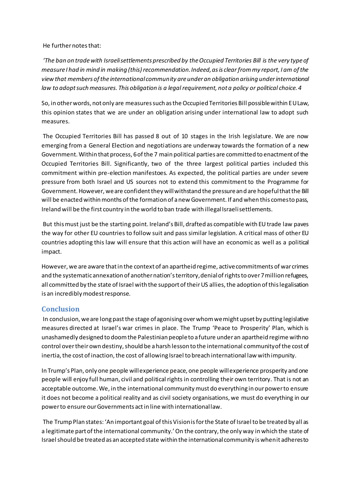#### He further notes that:

*'The ban on trade with Israeli settlements prescribed by the Occupied Territories Bill is the very type of measure I had in mind in making (this) recommendation. Indeed, as is clear from my report, I am of the view that members of the international community are under an obligation arising under international law to adopt such measures. This obligation is a legal requirement, not a policy or political choice.4*

So, in other words, not only are measures such as the Occupied Territories Bill possible within EU Law, this opinion states that we are under an obligation arising under international law to adopt such measures.

The Occupied Territories Bill has passed 8 out of 10 stages in the Irish legislature. We are now emerging from a General Election and negotiations are underway towards the formation of a new Government. Within that process, 6 of the 7 main political parties are committed to enactment of the Occupied Territories Bill. Significantly, two of the three largest political parties included this commitment within pre-election manifestoes. As expected, the political parties are under severe pressure from both Israel and US sources not to extend this commitment to the Programme for Government. However, we are confident they will withstand the pressure and are hopeful that the Bill will be enacted within months of the formation of a new Government. If and when this comes to pass, Ireland will be the first country in the world to ban trade with illegal Israeli settlements.

But this must just be the starting point. Ireland's Bill, drafted as compatible with EU trade law paves the way for other EU countries to follow suit and pass similar legislation. A critical mass of other EU countries adopting this law will ensure that this action will have an economic as well as a political impact.

However, we are aware that in the context of an apartheid regime, active commitments of war crimes and the systematic annexation of another nation's territory, denial of rights to over 7 million refugees, all committed by the state of Israel with the support of their US allies, the adoption of this legalisation is an incredibly modest response.

## **Conclusion**

In conclusion, we are long past the stage of agonising over whom we might upset by putting legislative measures directed at Israel's war crimes in place. The Trump 'Peace to Prosperity' Plan, which is unashamedly designed to doom the Palestinian people to a future under an apartheid regime with no control over their own destiny, should be a harsh lesson to the international community of the cost of inertia, the cost of inaction, the cost of allowing Israel to breach international law with impunity.

In Trump's Plan, only one people will experience peace, one people will experience prosperity and one people will enjoy full human, civil and political rights in controlling their own territory. That is not an acceptable outcome. We, in the international community must do everything in our power to ensure it does not become a political reality and as civil society organisations, we must do everything in our power to ensure our Governments act in line with international law.

The Trump Plan states: 'An important goal of this Vision is for the State of Israel to be treated by all as a legitimate part of the international community.' On the contrary, the only way in which the state of Israel should be treated as an accepted state within the international community is when it adheres to